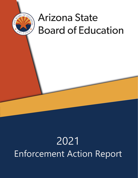

# **Arizona State Board of Education**

## 2021 Enforcement Action Report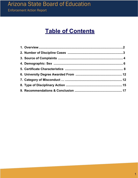## **Table of Contents**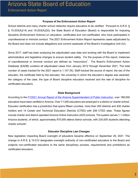#### **Purpose of the Enforcement Action Report**

School districts and many charter school networks require educators to be certified. Pursuant to A.R.S. § § 15-203(A)(14) and 15-203(A)(20), the State Board of Education (Board) is responsible for imposing discipline (Enforcement Actions) on educators, certificated and non-certificated, who have participated in unprofessional or immoral conduct. The 2021 Enforcement Action Report represents cases adjudicated by the Board and does not include allegations and current caseloads of the Board's Investigative Unit (IU).

Since 2017, staff has been analyzing the adjudicated case data and working with the Board to implement administrative and legislative changes to ensure student safety. For the purpose of this report, instances of unprofessional or immoral conduct are defined as "misconduct". The Board's Enforcement Action Database (EADB) contains all adjudicated cases from January 2012 through December 2021. The total number of cases tracked for the 2021 report is 1,107 (N). Staff tracked the source of report, the sex of the educator, the certificate held by the educator, the university in which the educator's degree was awarded, the category of the case, the type of Board discipline educators received and the rate of discipline for certificated educators.

#### **State Background**

According to the **FY2021 Annual Report of the Arizona Superintendent of Public Instruction**, over 188,000 educators have been certified in Arizona. Over 71,000 educators are employed in a district or charter school. Educator certification has a jurisdiction that spans fifteen counties, more than 200 districts and 400 charter holders and 14 Career and Technical Education Districts (CTED) with 259 CTED sites. These figures include charter and district operated Arizona Online Instruction (AOI) schools. The system serves 1.1 million Arizona students, of which, approximately 870,000 attend district schools, with 230,000 students attending charter schools<sup>1</sup>

#### **Educator Discipline Law Changes**

New legislation impacting Board oversight of educators became effective on September 29, 2021. The change to A.R.S. § 15-512 designates oversight authority of non-certificated educators to the Board and subjects non-certificated educators to the same disciplinary process, requirements and prohibitions as certificated educators.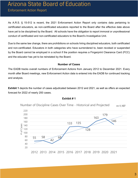As A.R.S. § 15-512 is recent, the 2021 Enforcement Action Report only contains data pertaining to certificated educators, as non-certificated educators reported to the Board after the effective date above have yet to be disciplined by the Board. All schools have the obligation to report immoral or unprofessional conduct of certificated and non-certificated educators to the Board's Investigative Unit.

Due to the same law change, there are prohibitions on schools hiring disciplined educators, both certificated and non-certificated. Educators in both categories who have surrendered to, been revoked or suspended by the Board cannot be employed in a school if the position requires a Fingerprint Clearance Card (FCC) and the educator has yet to be reinstated by the Board.

#### **Number of Cases**

The EADB tracks overall numbers of Enforcement Actions from January 2012 to December 2021. Every month after Board meetings, new Enforcement Action data is entered into the EADB for continued tracking and analysis.

**Exhibit 1** depicts the number of cases adjudicated between 2012 and 2021, as well as offers an expected forecast for 2022 of nearly 200 cases.



#### **Exhibit # 1**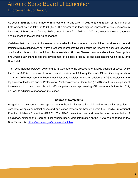As seen in **Exhibit 1,** the number of Enforcement Actions taken in 2012 (55) is a fraction of the number of Enforcement Actions taken in 2021 (146). The difference in these figures represents a 265% increase in instances of Enforcement Actions. Enforcement Actions from 2020 and 2021 are lower due to the pandemic and its effect on the scheduling of hearings.

Variables that contributed to increases in case adjudication include: expanded IU technical assistance and training with district and charter human resource representatives to ensure the timely and accurate reporting of educator misconduct to the IU, additional Assistant Attorney General resource allocations, Board policy and Arizona law changes and the development of policies, procedures and expectations within the IU and Board staff.

The 195% increase between 2015 and 2016 was due to the processing of a large backlog of cases, while the dip in 2018 is in response to a turnover at the Assistant Attorney General's Office. Growing trends in 2019 and 2020 represent the Board's administrative decision to fund an additional AAG to assist with the legal work of the Board and its Professional Practices Advisory Committee (PPAC), resulting in a significant increase in adjudicated cases. Board staff anticipates a steady processing of Enforcement Actions for 2022, on track to adjudicate at or above 200 cases.

#### **Source of Complaints**

Allegations of misconduct are reported to the Board's Investigative Unit and once an investigation is complete, complex complaint cases and application reviews are brought before the Board's Professional Practices Advisory Committee (PPAC). The PPAC hears the case and provides a recommendation of disciplinary action to the Board for final consideration. More information on the PPAC can be found on the Board's website: [https://azsbe.az.gov/educator-discipline.](https://azsbe.az.gov/educator-discipline)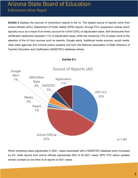**Exhibit 2** displays the sources of misconduct reports to the IU. The largest source of reports come from school officials (43%). Department of Public Safety (DPS) reports, through FCC suspension notices which typically occur as a result of an arrest, account for a third (33%) of adjudicated cases. Self-disclosures from certification applicants represent 11% of adjudicated cases, while the remaining 13% of cases come to the attention of the IU from sources such as parents, Google alerts, traditional media sources, social media, other state agencies and criminal justice systems and from the National Association of State Directors of Teacher Education and Certification (NASDTEC) database entries.



#### **Exhibit # 2**

When reviewing cases adjudicated in 2021, cases associated with a NASDTEC database entry increased by 4%, while reports from school officials represented 36% of all 2021 cases. DPS' FCC status updates remain constant at one third of all reports of 2021 cases.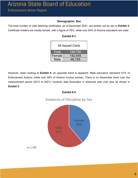#### **Demographic: Sex**

The total number of valid teaching certificates, as of December 2021, are broken out by sex in **Exhibit 3**. Certificate holders are mostly female, with a figure of 76%, while only 24% of Arizona educators are male.

| <b>All Issued Certs</b> |         |  |  |
|-------------------------|---------|--|--|
| <b>Total</b>            | 188,700 |  |  |
| Female                  | 142,545 |  |  |
| Male                    | 46,155  |  |  |

**Exhibit # 3** 

However, when looking at **Exhibit 4**, an opposite trend is apparent. Male educators represent 61% of Enforcement Actions, while only 39% of Actions involve women. There is no discernible trend over the measurement period (2012 to 2021), however data fluctuation is observed year over year as shown in **Exhibit 5.**





n=1,107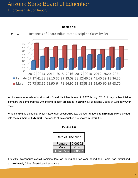## Arizona State Board of Education

### Enforcement Action Report



**Exhibit # 5**

An increase in female educators with Board discipline is seen in 2017 through 2019. It may be benficial to compare the demographics with the information presented in **Exhibit 13**: Discipline Cases by Category Over Time.

When analyzing the rate at which misconduct occurred by sex, the raw numbers from **Exhibit 4** were divided into the numbers of **Exhibit 3**. The results of this equation are shown in **Exhibit 6.**

**Exhibit # 6**

| <b>Rate of Discipline</b> |         |  |
|---------------------------|---------|--|
|                           |         |  |
| 0.00302<br>Female         |         |  |
| Male                      | 0.01465 |  |
| Total Rate                | 0.00587 |  |

Educator misconduct overall remains low, as during the ten-year period the Board has disciplined approximately 0.5% of certificated educators.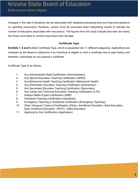Changes in the rate of discipline can be associated with caseload processing time and improved guidance on reporting misconduct, therefore, caution must be exercised when interpreting results to indicate the number of educators associated with misconduct. The figures from this study indicate that men are nearly five times more likely to commit misconduct than females.

#### **Certificate Type**

**Exhibits 7, 8 and 9** utilize Certificate Type, which is separated into 11 different categories. Applications are reviewed by the Board to determine if an individual is eligible to hold a certificate due to past history and therefore, individuals do not possess a certificate.

Certificate Type is as follows:

- 1. Any Administrative Role Certification (Administration)
- 2. Any Special Education Teaching Certification (SPED)
- 3. Any Behavioral Health Teaching Certification (Behavioral Health)
- 4. Any Elementary Education Teaching Certification (Elementary)
- 5. Any Secondary Education Teaching Certification (Secondary)
- 6. Any Career and Technical Education Teaching Certification (CTE)
- 7. Subject Matter Expert Certification (SME)
- 8. Substitute Teaching Certification (Substitute)
- 9. Emergency Teaching or Substitute Certification (Emergency Teaching)
- 10. Other Infrequent Types of Certification (Other): Arts/Music Education, Adult Education, Early Childhood Education, JROTC, Gifted Education
- 11. Applying for Any Certification (Application)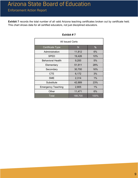**Exhibit 7** records the total number of all valid Arizona teaching certificates broken out by certificate held. This chart shows data for all certified educators, not just disciplined educators.

| <b>All Issued Certs</b>   |         |               |  |  |
|---------------------------|---------|---------------|--|--|
| <b>Certificate Type</b>   | N       | $\frac{9}{6}$ |  |  |
| Administration            | 11,812  | 6%            |  |  |
| <b>SPED</b>               | 19,426  | 10%           |  |  |
| <b>Behavioral Health</b>  | 9,200   | 5%            |  |  |
| Elementary                | 51,911  | 28%           |  |  |
| Secondary                 | 30,700  | 16%           |  |  |
| <b>CTE</b>                | 6,172   | 3%            |  |  |
| <b>SME</b>                | 2,314   | 1%            |  |  |
| Substitute                | 42,889  | 23%           |  |  |
| <b>Emergency Teaching</b> | 2,805   | 1%            |  |  |
| Other                     | 11,471  | 6%            |  |  |
| <b>Total</b>              | 188,700 | 100%          |  |  |

#### **Exhibit # 7**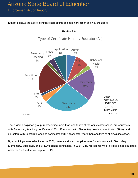**Exhibit 8** shows the type of certificate held at time of disciplinary action taken by the Board.



**Exhibit # 8**

Type of Certificate Held by Educator (All)

The largest disciplined group, representing more than one-fourth of the adjudicated cases, are educators with Secondary teaching certificates (28%). Educators with Elementary teaching certificates (19%), and educators with Substitute teaching certificates (18%) account for more than one third of all discipline cases.

By examining cases adjudicated in 2021, there are similar discipline rates for educators with Secondary, Elementary, Substitute, and SPED teaching certificates. In 2021, CTE represents 7% of all disciplined educators, while SME educators correspond to 4%.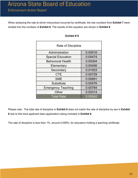When analyzing the rate at which misconduct occurred by certificate, the raw numbers from **Exhibit 7** were divided into the numbers of **Exhibit 8**. The results of this equation are shown in **Exhibit 9**.

| <b>Rate of Discipline</b> |         |  |  |
|---------------------------|---------|--|--|
| Administration            | 0.00516 |  |  |
| <b>Special Education</b>  | 0.00474 |  |  |
| <b>Behavioral Health</b>  | 0.00304 |  |  |
| Elementary                | 0.00406 |  |  |
| Secondary                 | 0.01003 |  |  |
| <b>CTE</b>                | 0.00729 |  |  |
| <b>SME</b>                | 0.00691 |  |  |
| Substitute                | 0.00476 |  |  |
| <b>Emergency Teaching</b> | 0.00784 |  |  |
| Other                     | 0.00314 |  |  |
| <b>Total Rate</b>         | 0.00542 |  |  |

#### **Exhibit # 9**

Please note: The total rate of discipline in **Exhibit 9** does not match the rate of discipline by sex in **Exhibit 6** due to first time applicant data (application) being included in **Exhibit 6**.

The rate of discipline is less than 1%, around 0.059%, for educators holding a teaching certificate.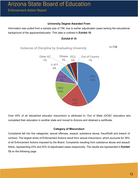#### **University Degree Awarded From**

Information was pulled from a sample size of 758, due to earlier adjudicated cases lacking the educational background of the applicant/educator. This data is outlined in **Exhibit 10.**



#### **Exhibit # 10**

Over 40% of all disciplined educator misconduct is attributed to "Out of State (OOS)" educators who completed their education in another state and moved to Arizona and obtained a certificate.

21%

#### **Category of Misconduct**

Complaints fall into five categories: sexual offenses, assault, substance abuse, fraud/theft and breach of contract. The largest share of Enforcement Actions result from sexual misconduct, which accounts for 38% of all Enforcement Actions imposed by the Board. Complaints resulting from substance abuse and assault follow, representing 23% and 20% of adjudicated cases respectively. The results are represented in **Exhibit 12** on the following page.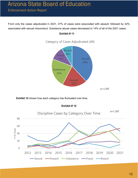From only the cases adjudicated in 2021, 37% of cases were associated with assault, followed by 32% associated with sexual misconduct. Substance abuse cases decreased to 14% of all of the 2021 cases.



#### **Exhibit # 11**

**Exhibit 12** shows how each category has fluctuated over time.



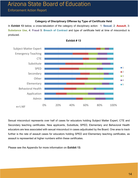#### **Category of Disciplinary Offense by Type of Certificate Held**

In **Exhibit 13** below, a cross-tabulation of the category of disciplinary action: 1: **Sexual**, 2: **Assault**, 3: **Substance Use**, 4: **Fraud** 5: **Breach of Contract** and type of certificate held at time of misconduct is produced.





Sexual misconduct represents over half of cases for educators holding Subject Matter Expert, CTE and Secondary teaching certificates. New applicants, Substitute, SPED, Elementary and Behavioral Health educators are less associated with sexual misconduct in cases adjudicated by the Board. One area to track further is the rate of assault cases for educators holding SPED and Elementary teaching certificates, as assault is represented at higher numbers within these certificates.

Please see the Appendix for more information on **Exhibit 13**.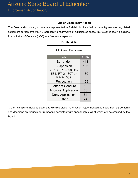#### **Type of Disciplinary Action**

The Board's disciplinary actions are represented in **Exhibit 14**. Included in these figures are negotiated settlement agreements (NSA), representing nearly 25% of adjudicated cases. NSAs can range in discipline from a Letter of Censure (LOC) to a five year suspension.

| <b>All Board Discipline</b>                            |       |  |  |
|--------------------------------------------------------|-------|--|--|
| <b>Total</b>                                           | 1,107 |  |  |
| Surrender                                              | 413   |  |  |
| Suspension                                             | 186   |  |  |
| A.R.S. § 15-550, 15-<br>534, R7-2-1307 or<br>R7-2-1309 | 130   |  |  |
| Revocation                                             | 129   |  |  |
| <b>Letter of Censure</b>                               | 88    |  |  |
| <b>Approve Application</b>                             | 83    |  |  |
| <b>Deny Application</b>                                | 54    |  |  |
| Other                                                  | 24    |  |  |

#### **Exhibit # 14**

"Other" discipline includes actions to dismiss disciplinary action, reject negotiated settlement agreements and decisions on requests for re-hearing consistent with appeal rights, all of which are determined by the Board.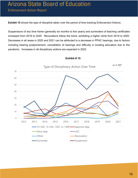**Exhibit 15** shows the type of discipline taken over the period of time tracking Enforcement Actions.

Suspensions of any time frame (generally six months to five years) and surrenders of teaching certificates increased from 2018 to 2020. Revocations follow the trend, exhibiting a higher climb from 2019 to 2020. Decreases in all areas in 2020 and 2021 can be attributed to a decrease in PPAC hearings, due to factors including hearing postponement, cancellation of hearings and difficulty in locating educators due to the pandemic. Increases in all disciplinary actions are expected in 2022.



#### **Exhibit # 15**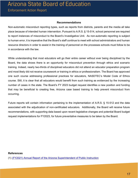#### **Recommendations**

Non-automatic misconduct reporting types, such as reports from districts, parents and the media all take place because of intended human intervention. Pursuant to A.R.S. § 15-514, school personnel are required to report instances of misconduct to the Board's Investigative Unit. As non-automatic reporting is subject to human error, it is imperative that the Board's staff continue to meet with school administrators and human resource directors in order to assist in the training of personnel on the processes schools must follow to be in accordance with the law.

While understanding that most educators will go their entire career without ever being disciplined by the Board, the data shows there is an opportunity for misconduct prevention through ethics and scenario training. Indeed, nearly two-thirds of disciplined educators did not attend an educator preparation program and most likely did not receive coursework or training in ethics or professionalism. The Board has approved one such course addressing professional practices for educators, NASDTEC's Model Code of Ethics course. Still, it is clear that all educators would benefit from such training as evidenced by the increasing number of cases in the state. The Board's FY 2023 budget request identifies a new position and funding that may be beneficial to creating free, Arizona case based training to help prevent misconduct from occurring.

Future reports will contain information pertaining to the implementation of A.R.S. § 15-512 and the data associated with the adjudication of non-certificated educators. Additionally, the Board will receive future recommendations, with supporting data based upon recent legislative changes and potential Board budget request implementations for FY2023, for future preventative measures to be taken by the Board.

#### **References**

(1) (FY2021) Annual Report of the Arizona [Superintendent](https://www.azed.gov/finance/reports) of Public Instruction